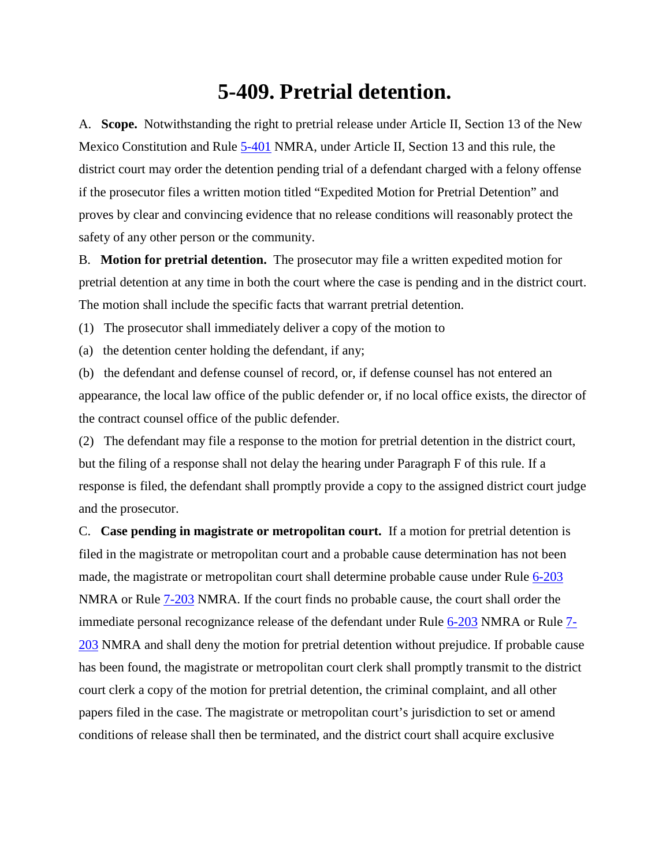## **5-409. Pretrial detention.**

A. **Scope.** Notwithstanding the right to pretrial release under Article II, Section 13 of the New Mexico Constitution and Rule [5-401](http://public.nmcompcomm.us/nmpublic/gateway.dll?f=jumplink$jumplink_x=Advanced$jumplink_vpc=first$jumplink_xsl=querylink.xsl$jumplink_sel=title;path;content-type;home-title;item-bookmark$jumplink_d=%7bnmsu%7d$jumplink_q=%5bfield%20folio-destination-name:) NMRA, under Article II, Section 13 and this rule, the district court may order the detention pending trial of a defendant charged with a felony offense if the prosecutor files a written motion titled "Expedited Motion for Pretrial Detention" and proves by clear and convincing evidence that no release conditions will reasonably protect the safety of any other person or the community.

B. **Motion for pretrial detention.** The prosecutor may file a written expedited motion for pretrial detention at any time in both the court where the case is pending and in the district court. The motion shall include the specific facts that warrant pretrial detention.

(1) The prosecutor shall immediately deliver a copy of the motion to

(a) the detention center holding the defendant, if any;

(b) the defendant and defense counsel of record, or, if defense counsel has not entered an appearance, the local law office of the public defender or, if no local office exists, the director of the contract counsel office of the public defender.

(2) The defendant may file a response to the motion for pretrial detention in the district court, but the filing of a response shall not delay the hearing under Paragraph F of this rule. If a response is filed, the defendant shall promptly provide a copy to the assigned district court judge and the prosecutor.

C. **Case pending in magistrate or metropolitan court.** If a motion for pretrial detention is filed in the magistrate or metropolitan court and a probable cause determination has not been made, the magistrate or metropolitan court shall determine probable cause under Rule [6-203](http://public.nmcompcomm.us/nmpublic/gateway.dll?f=jumplink$jumplink_x=Advanced$jumplink_vpc=first$jumplink_xsl=querylink.xsl$jumplink_sel=title;path;content-type;home-title;item-bookmark$jumplink_d=%7bnmsu%7d$jumplink_q=%5bfield%20folio-destination-name:) NMRA or Rule [7-203](http://public.nmcompcomm.us/nmpublic/gateway.dll?f=jumplink$jumplink_x=Advanced$jumplink_vpc=first$jumplink_xsl=querylink.xsl$jumplink_sel=title;path;content-type;home-title;item-bookmark$jumplink_d=%7bnmsu%7d$jumplink_q=%5bfield%20folio-destination-name:) NMRA. If the court finds no probable cause, the court shall order the immediate personal recognizance release of the defendant under Rule [6-203](http://public.nmcompcomm.us/nmpublic/gateway.dll?f=jumplink$jumplink_x=Advanced$jumplink_vpc=first$jumplink_xsl=querylink.xsl$jumplink_sel=title;path;content-type;home-title;item-bookmark$jumplink_d=%7bnmsu%7d$jumplink_q=%5bfield%20folio-destination-name:) NMRA or Rule [7-](http://public.nmcompcomm.us/nmpublic/gateway.dll?f=jumplink$jumplink_x=Advanced$jumplink_vpc=first$jumplink_xsl=querylink.xsl$jumplink_sel=title;path;content-type;home-title;item-bookmark$jumplink_d=%7bnmsu%7d$jumplink_q=%5bfield%20folio-destination-name:) [203](http://public.nmcompcomm.us/nmpublic/gateway.dll?f=jumplink$jumplink_x=Advanced$jumplink_vpc=first$jumplink_xsl=querylink.xsl$jumplink_sel=title;path;content-type;home-title;item-bookmark$jumplink_d=%7bnmsu%7d$jumplink_q=%5bfield%20folio-destination-name:) NMRA and shall deny the motion for pretrial detention without prejudice. If probable cause has been found, the magistrate or metropolitan court clerk shall promptly transmit to the district court clerk a copy of the motion for pretrial detention, the criminal complaint, and all other papers filed in the case. The magistrate or metropolitan court's jurisdiction to set or amend conditions of release shall then be terminated, and the district court shall acquire exclusive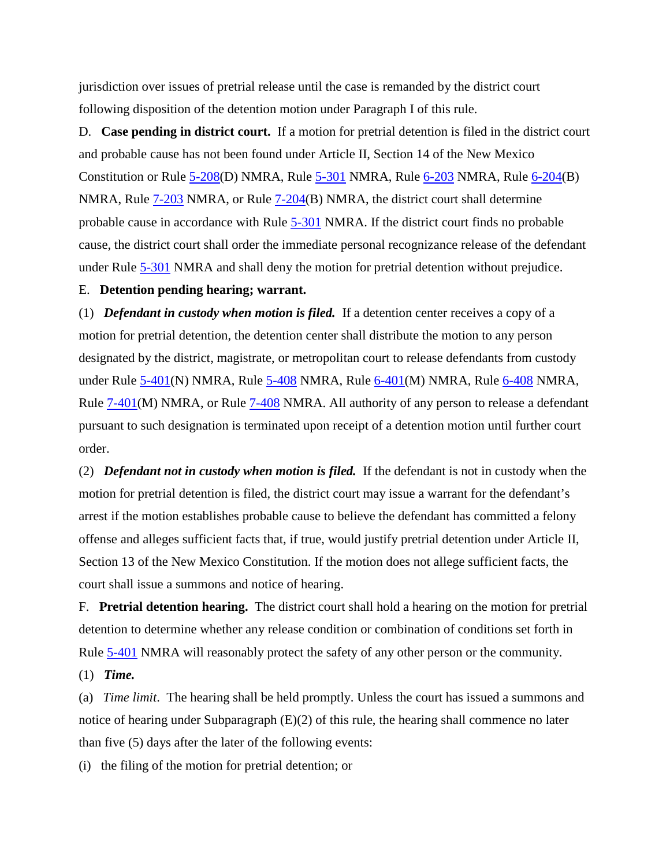jurisdiction over issues of pretrial release until the case is remanded by the district court following disposition of the detention motion under Paragraph I of this rule.

D. **Case pending in district court.** If a motion for pretrial detention is filed in the district court and probable cause has not been found under Article II, Section 14 of the New Mexico Constitution or Rule  $5-208(D)$  NMRA, Rule  $5-301$  NMRA, Rule  $6-203$  NMRA, Rule  $6-204(B)$ NMRA, Rule [7-203](http://public.nmcompcomm.us/nmpublic/gateway.dll?f=jumplink$jumplink_x=Advanced$jumplink_vpc=first$jumplink_xsl=querylink.xsl$jumplink_sel=title;path;content-type;home-title;item-bookmark$jumplink_d=%7bnmsu%7d$jumplink_q=%5bfield%20folio-destination-name:) NMRA, or Rule [7-204\(](http://public.nmcompcomm.us/nmpublic/gateway.dll?f=jumplink$jumplink_x=Advanced$jumplink_vpc=first$jumplink_xsl=querylink.xsl$jumplink_sel=title;path;content-type;home-title;item-bookmark$jumplink_d=%7bnmsu%7d$jumplink_q=%5bfield%20folio-destination-name:)B) NMRA, the district court shall determine probable cause in accordance with Rule [5-301](http://public.nmcompcomm.us/nmpublic/gateway.dll?f=jumplink$jumplink_x=Advanced$jumplink_vpc=first$jumplink_xsl=querylink.xsl$jumplink_sel=title;path;content-type;home-title;item-bookmark$jumplink_d=%7bnmsu%7d$jumplink_q=%5bfield%20folio-destination-name:) NMRA. If the district court finds no probable cause, the district court shall order the immediate personal recognizance release of the defendant under Rule [5-301](http://public.nmcompcomm.us/nmpublic/gateway.dll?f=jumplink$jumplink_x=Advanced$jumplink_vpc=first$jumplink_xsl=querylink.xsl$jumplink_sel=title;path;content-type;home-title;item-bookmark$jumplink_d=%7bnmsu%7d$jumplink_q=%5bfield%20folio-destination-name:) NMRA and shall deny the motion for pretrial detention without prejudice.

## E. **Detention pending hearing; warrant.**

(1) *Defendant in custody when motion is filed.* If a detention center receives a copy of a motion for pretrial detention, the detention center shall distribute the motion to any person designated by the district, magistrate, or metropolitan court to release defendants from custody under Rule [5-401\(](http://public.nmcompcomm.us/nmpublic/gateway.dll?f=jumplink$jumplink_x=Advanced$jumplink_vpc=first$jumplink_xsl=querylink.xsl$jumplink_sel=title;path;content-type;home-title;item-bookmark$jumplink_d=%7bnmsu%7d$jumplink_q=%5bfield%20folio-destination-name:)N) NMRA, Rule [5-408](http://public.nmcompcomm.us/nmpublic/gateway.dll?f=jumplink$jumplink_x=Advanced$jumplink_vpc=first$jumplink_xsl=querylink.xsl$jumplink_sel=title;path;content-type;home-title;item-bookmark$jumplink_d=%7bnmsu%7d$jumplink_q=%5bfield%20folio-destination-name:) NMRA, Rule [6-401\(](http://public.nmcompcomm.us/nmpublic/gateway.dll?f=jumplink$jumplink_x=Advanced$jumplink_vpc=first$jumplink_xsl=querylink.xsl$jumplink_sel=title;path;content-type;home-title;item-bookmark$jumplink_d=%7bnmsu%7d$jumplink_q=%5bfield%20folio-destination-name:)M) NMRA, Rule [6-408](http://public.nmcompcomm.us/nmpublic/gateway.dll?f=jumplink$jumplink_x=Advanced$jumplink_vpc=first$jumplink_xsl=querylink.xsl$jumplink_sel=title;path;content-type;home-title;item-bookmark$jumplink_d=%7bnmsu%7d$jumplink_q=%5bfield%20folio-destination-name:) NMRA, Rule [7-401\(](http://public.nmcompcomm.us/nmpublic/gateway.dll?f=jumplink$jumplink_x=Advanced$jumplink_vpc=first$jumplink_xsl=querylink.xsl$jumplink_sel=title;path;content-type;home-title;item-bookmark$jumplink_d=%7bnmsu%7d$jumplink_q=%5bfield%20folio-destination-name:)M) NMRA, or Rule [7-408](http://public.nmcompcomm.us/nmpublic/gateway.dll?f=jumplink$jumplink_x=Advanced$jumplink_vpc=first$jumplink_xsl=querylink.xsl$jumplink_sel=title;path;content-type;home-title;item-bookmark$jumplink_d=%7bnmsu%7d$jumplink_q=%5bfield%20folio-destination-name:) NMRA. All authority of any person to release a defendant pursuant to such designation is terminated upon receipt of a detention motion until further court order.

(2) *Defendant not in custody when motion is filed.* If the defendant is not in custody when the motion for pretrial detention is filed, the district court may issue a warrant for the defendant's arrest if the motion establishes probable cause to believe the defendant has committed a felony offense and alleges sufficient facts that, if true, would justify pretrial detention under Article II, Section 13 of the New Mexico Constitution. If the motion does not allege sufficient facts, the court shall issue a summons and notice of hearing.

F. **Pretrial detention hearing.** The district court shall hold a hearing on the motion for pretrial detention to determine whether any release condition or combination of conditions set forth in Rule [5-401](http://public.nmcompcomm.us/nmpublic/gateway.dll?f=jumplink$jumplink_x=Advanced$jumplink_vpc=first$jumplink_xsl=querylink.xsl$jumplink_sel=title;path;content-type;home-title;item-bookmark$jumplink_d=%7bnmsu%7d$jumplink_q=%5bfield%20folio-destination-name:) NMRA will reasonably protect the safety of any other person or the community.

(1) *Time.*

(a) *Time limit*. The hearing shall be held promptly. Unless the court has issued a summons and notice of hearing under Subparagraph (E)(2) of this rule, the hearing shall commence no later than five (5) days after the later of the following events:

(i) the filing of the motion for pretrial detention; or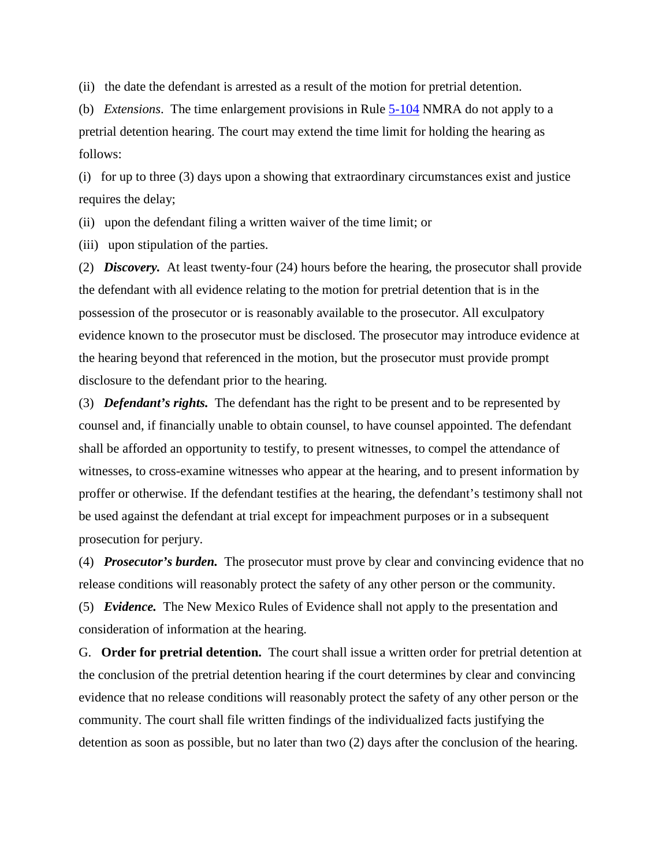(ii) the date the defendant is arrested as a result of the motion for pretrial detention.

(b) *Extensions*. The time enlargement provisions in Rule [5-104](http://public.nmcompcomm.us/nmpublic/gateway.dll?f=jumplink$jumplink_x=Advanced$jumplink_vpc=first$jumplink_xsl=querylink.xsl$jumplink_sel=title;path;content-type;home-title;item-bookmark$jumplink_d=%7bnmsu%7d$jumplink_q=%5bfield%20folio-destination-name:) NMRA do not apply to a pretrial detention hearing. The court may extend the time limit for holding the hearing as follows:

(i) for up to three (3) days upon a showing that extraordinary circumstances exist and justice requires the delay;

(ii) upon the defendant filing a written waiver of the time limit; or

(iii) upon stipulation of the parties.

(2) *Discovery.* At least twenty-four (24) hours before the hearing, the prosecutor shall provide the defendant with all evidence relating to the motion for pretrial detention that is in the possession of the prosecutor or is reasonably available to the prosecutor. All exculpatory evidence known to the prosecutor must be disclosed. The prosecutor may introduce evidence at the hearing beyond that referenced in the motion, but the prosecutor must provide prompt disclosure to the defendant prior to the hearing.

(3) *Defendant's rights.* The defendant has the right to be present and to be represented by counsel and, if financially unable to obtain counsel, to have counsel appointed. The defendant shall be afforded an opportunity to testify, to present witnesses, to compel the attendance of witnesses, to cross-examine witnesses who appear at the hearing, and to present information by proffer or otherwise. If the defendant testifies at the hearing, the defendant's testimony shall not be used against the defendant at trial except for impeachment purposes or in a subsequent prosecution for perjury.

(4) *Prosecutor's burden.* The prosecutor must prove by clear and convincing evidence that no release conditions will reasonably protect the safety of any other person or the community.

(5) *Evidence.* The New Mexico Rules of Evidence shall not apply to the presentation and consideration of information at the hearing.

G. **Order for pretrial detention.** The court shall issue a written order for pretrial detention at the conclusion of the pretrial detention hearing if the court determines by clear and convincing evidence that no release conditions will reasonably protect the safety of any other person or the community. The court shall file written findings of the individualized facts justifying the detention as soon as possible, but no later than two (2) days after the conclusion of the hearing.